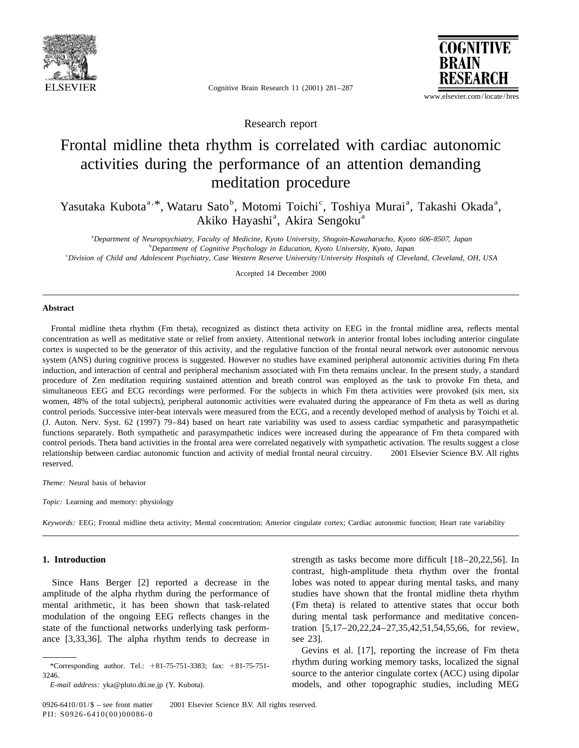

Cognitive Brain Research 11 (2001) 281–287



www.elsevier.com/locate/bres

Research report

# Frontal midline theta rhythm is correlated with cardiac autonomic activities during the performance of an attention demanding meditation procedure

Yasutaka Kubota<sup>a, \*</sup>, Wataru Sato<sup>b</sup>, Motomi Toichi<sup>c</sup>, Toshiya Murai<sup>a</sup>, Takashi Okada<sup>a</sup>,<br>Akiko Hayashi<sup>a</sup>, Akira Sengoku<sup>a</sup>

a *Department of Neuropsychiatry*, *Faculty of Medicine*, *Kyoto University*, *Shogoin*-*Kawaharacho*, *Kyoto* <sup>606</sup>-8507, *Japan* b *Department of Cognitive Psychology in Education*, *Kyoto University*, *Kyoto*, *Japan*

c *Division of Child and Adolescent Psychiatry*, *Case Western Reserve University*/*University Hospitals of Cleveland*, *Cleveland*, *OH*, *USA*

Accepted 14 December 2000

### **Abstract**

Frontal midline theta rhythm (Fm theta), recognized as distinct theta activity on EEG in the frontal midline area, reflects mental concentration as well as meditative state or relief from anxiety. Attentional network in anterior frontal lobes including anterior cingulate cortex is suspected to be the generator of this activity, and the regulative function of the frontal neural network over autonomic nervous system (ANS) during cognitive process is suggested. However no studies have examined peripheral autonomic activities during Fm theta induction, and interaction of central and peripheral mechanism associated with Fm theta remains unclear. In the present study, a standard procedure of Zen meditation requiring sustained attention and breath control was employed as the task to provoke Fm theta, and simultaneous EEG and ECG recordings were performed. For the subjects in which Fm theta activities were provoked (six men, six women, 48% of the total subjects), peripheral autonomic activities were evaluated during the appearance of Fm theta as well as during control periods. Successive inter-beat intervals were measured from the ECG, and a recently developed method of analysis by Toichi et al. (J. Auton. Nerv. Syst. 62 (1997) 79–84) based on heart rate variability was used to assess cardiac sympathetic and parasympathetic functions separately. Both sympathetic and parasympathetic indices were increased during the appearance of Fm theta compared with control periods. Theta band activities in the frontal area were correlated negatively with sympathetic activation. The results suggest a close relationship between cardiac autonomic function and activity of medial frontal neural circuitry.  $\circ$  2001 Elsevier Science B.V. All rights reserved.

*Theme*: Neural basis of behavior

*Topic*: Learning and memory: physiology

*Keywords*: EEG; Frontal midline theta activity; Mental concentration; Anterior cingulate cortex; Cardiac autonomic function; Heart rate variability

amplitude of the alpha rhythm during the performance of studies have shown that the frontal midline theta rhythm mental arithmetic, it has been shown that task-related (Fm theta) is related to attentive states that occur both modulation of the ongoing EEG reflects changes in the during mental task performance and meditative concenstate of the functional networks underlying task perform- tration  $[5,17-20,22,24-27,35,42,51,54,55,66,$  for review, ance [3,33,36]. The alpha rhythm tends to decrease in see 23].

**1. Introduction** strength as tasks become more difficult [18–20,22,56]. In contrast, high-amplitude theta rhythm over the frontal Since Hans Berger [2] reported a decrease in the lobes was noted to appear during mental tasks, and many

Gevins et al. [17], reporting the increase of Fm theta rhythm during working memory tasks, localized the signal \*Corresponding author. Tel.: <sup>1</sup>81-75-751-3383; fax: <sup>1</sup>81-75-751- *E*-*mail address*: yka@pluto.dti.ne.jp (Y. Kubota). models, and other topographic studies, including MEG

<sup>3246.</sup> source to the anterior cingulate cortex (ACC) using dipolar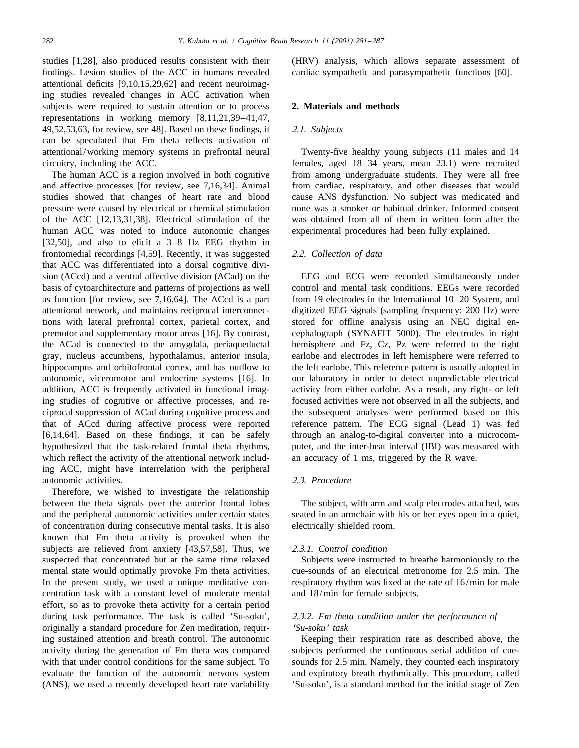studies [1,28], also produced results consistent with their (HRV) analysis, which allows separate assessment of findings. Lesion studies of the ACC in humans revealed cardiac sympathetic and parasympathetic functions [60]. attentional deficits [9,10,15,29,62] and recent neuroimaging studies revealed changes in ACC activation when subjects were required to sustain attention or to process **2. Materials and methods** representations in working memory [8,11,21,39–41,47, 49,52,53,63, for review, see 48]. Based on these findings, it 2.1. *Subjects* can be speculated that Fm theta reflects activation of attentional/working memory systems in prefrontal neural Twenty-five healthy young subjects (11 males and 14

and affective processes [for review, see 7,16,34]. Animal from cardiac, respiratory, and other diseases that would studies showed that changes of heart rate and blood cause ANS dysfunction. No subject was medicated and pressure were caused by electrical or chemical stimulation none was a smoker or habitual drinker. Informed consent of the ACC [12,13,31,38]. Electrical stimulation of the was obtained from all of them in written form after the human ACC was noted to induce autonomic changes experimental procedures had been fully explained. [32,50], and also to elicit a 3–8 Hz EEG rhythm in frontomedial recordings [4,59]. Recently, it was suggested 2.2. *Collection of data* that ACC was differentiated into a dorsal cognitive division (ACcd) and a ventral affective division (ACad) on the EEG and ECG were recorded simultaneously under basis of cytoarchitecture and patterns of projections as well control and mental task conditions. EEGs were recorded as function [for review, see 7,16,64]. The ACcd is a part from 19 electrodes in the International 10–20 System, and attentional network, and maintains reciprocal interconnec- digitized EEG signals (sampling frequency: 200 Hz) were tions with lateral prefrontal cortex, parietal cortex, and stored for offline analysis using an NEC digital enpremotor and supplementary motor areas [16]. By contrast, cephalograph (SYNAFIT 5000). The electrodes in right the ACad is connected to the amygdala, periaqueductal hemisphere and Fz, Cz, Pz were referred to the right gray, nucleus accumbens, hypothalamus, anterior insula, earlobe and electrodes in left hemisphere were referred to hippocampus and orbitofrontal cortex, and has outflow to the left earlobe. This reference pattern is usually adopted in autonomic, viceromotor and endocrine systems [16]. In our laboratory in order to detect unpredictable electrical addition, ACC is frequently activated in functional imag- activity from either earlobe. As a result, any right- or left ing studies of cognitive or affective processes, and re- focused activities were not observed in all the subjects, and ciprocal suppression of ACad during cognitive process and the subsequent analyses were performed based on this that of ACcd during affective process were reported reference pattern. The ECG signal (Lead 1) was fed [6,14,64]. Based on these findings, it can be safely through an analog-to-digital converter into a microcomhypothesized that the task-related frontal theta rhythms, puter, and the inter-beat interval (IBI) was measured with which reflect the activity of the attentional network includ- an accuracy of 1 ms, triggered by the R wave. ing ACC, might have interrelation with the peripheral autonomic activities. 2.3. *Procedure*

Therefore, we wished to investigate the relationship between the theta signals over the anterior frontal lobes The subject, with arm and scalp electrodes attached, was and the peripheral autonomic activities under certain states seated in an armchair with his or her eyes open in a quiet, of concentration during consecutive mental tasks. It is also electrically shielded room. known that Fm theta activity is provoked when the subjects are relieved from anxiety [43,57,58]. Thus, we 2.3.1. *Control condition* suspected that concentrated but at the same time relaxed Subjects were instructed to breathe harmoniously to the mental state would optimally provoke Fm theta activities. cue-sounds of an electrical metronome for 2.5 min. The In the present study, we used a unique meditative con-<br>respiratory rhythm was fixed at the rate of 16/min for male centration task with a constant level of moderate mental and 18/min for female subjects. effort, so as to provoke theta activity for a certain period during task performance. The task is called 'Su-soku', 2.3.2. *Fm theta condition under the performance of* originally a standard procedure for Zen meditation, requir- '*Su*-*soku*' *task* ing sustained attention and breath control. The autonomic Keeping their respiration rate as described above, the activity during the generation of Fm theta was compared subjects performed the continuous serial addition of cuewith that under control conditions for the same subject. To sounds for 2.5 min. Namely, they counted each inspiratory evaluate the function of the autonomic nervous system and expiratory breath rhythmically. This procedure, called

circuitry, including the ACC. females, aged 18–34 years, mean 23.1) were recruited The human ACC is a region involved in both cognitive from among undergraduate students. They were all free

(ANS), we used a recently developed heart rate variability 'Su-soku', is a standard method for the initial stage of Zen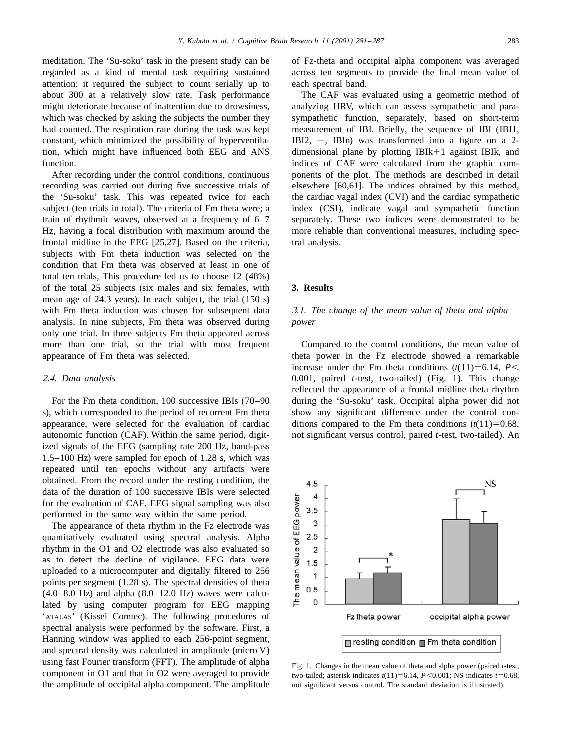meditation. The 'Su-soku' task in the present study can be of Fz-theta and occipital alpha component was averaged attention: it required the subject to count serially up to each spectral band. about 300 at a relatively slow rate. Task performance The CAF was evaluated using a geometric method of

recording was carried out during five successive trials of elsewhere [60,61]. The indices obtained by this method, the 'Su-soku' task. This was repeated twice for each the cardiac vagal index (CVI) and the cardiac sympathetic subject (ten trials in total). The criteria of Fm theta were; a index (CSI), indicate vagal and sympathetic function train of rhythmic waves, observed at a frequency of 6–7 separately. These two indices were demonstrated to be Hz, having a focal distribution with maximum around the more reliable than conventional measures, including specfrontal midline in the EEG [25,27]. Based on the criteria, tral analysis. subjects with Fm theta induction was selected on the condition that Fm theta was observed at least in one of total ten trials, This procedure led us to choose 12 (48%) of the total 25 subjects (six males and six females, with **3. Results** mean age of 24.3 years). In each subject, the trial (150 s) with Fm theta induction was chosen for subsequent data 3.1. The change of the mean value of theta and alpha analysis. In nine subjects, Fm theta was observed during *power* only one trial. In three subjects Fm theta appeared across more than one trial, so the trial with most frequent Compared to the control conditions, the mean value of appearance of Fm theta was selected. theta power in the Fz electrode showed a remarkable

s), which corresponded to the period of recurrent Fm theta show any significant difference under the control conappearance, were selected for the evaluation of cardiac ditions compared to the Fm theta conditions  $(t(11)=0.68)$ , autonomic function (CAF). Within the same period, digit- not significant versus control, paired *t*-test, two-tailed). An ized signals of the EEG (sampling rate 200 Hz, band-pass 1.5–100 Hz) were sampled for epoch of 1.28 s, which was repeated until ten epochs without any artifacts were obtained. From the record under the resting condition, the data of the duration of 100 successive IBIs were selected for the evaluation of CAF. EEG signal sampling was also performed in the same way within the same period.

The appearance of theta rhythm in the Fz electrode was quantitatively evaluated using spectral analysis. Alpha rhythm in the O1 and O2 electrode was also evaluated so as to detect the decline of vigilance. EEG data were uploaded to a microcomputer and digitally filtered to 256 points per segment (1.28 s). The spectral densities of theta  $(4.0-8.0 \text{ Hz})$  and alpha  $(8.0-12.0 \text{ Hz})$  waves were calculated by using computer program for EEG mapping 'ATALAS' (Kissei Comtec). The following procedures of spectral analysis were performed by the software. First, a Hanning window was applied to each 256-point segment, and spectral density was calculated in amplitude (micro V) using fast Fourier transform (FFT). The amplitude of alpha Fig. 1. Changes in the mean value of theta and alpha power (paired *t*-test, the amplitude of occipital alpha component. The amplitude not significant versus control. The standard deviation is illustrated).

regarded as a kind of mental task requiring sustained across ten segments to provide the final mean value of

might deteriorate because of inattention due to drowsiness, analyzing HRV, which can assess sympathetic and parawhich was checked by asking the subjects the number they sympathetic function, separately, based on short-term had counted. The respiration rate during the task was kept measurement of IBI. Briefly, the sequence of IBI (IBI1, constant, which minimized the possibility of hyperventila- IBI2,  $-$ , IBIn) was transformed into a figure on a 2tion, which might have influenced both EEG and ANS dimensional plane by plotting IBIk+1 against IBIk, and function. **indices** of CAF were calculated from the graphic com-After recording under the control conditions, continuous ponents of the plot. The methods are described in detail

increase under the Fm theta conditions  $(t(11)=6.14, P<$ 2.4. *Data analysis* 0.001, paired *t*-test, two-tailed) (Fig. 1). This change reflected the appearance of a frontal midline theta rhythm For the Fm theta condition, 100 successive IBIs (70–90 during the 'Su-soku' task. Occipital alpha power did not



component in O1 and that in O2 were averaged to provide two-tailed; asterisk indicates  $t(11)=6.14$ ,  $P<0.001$ ; NS indicates  $t=0.68$ ,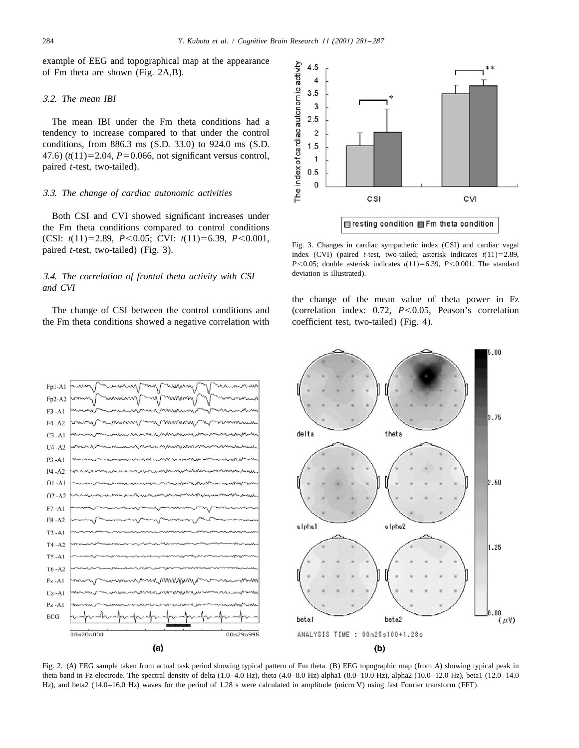example of EEG and topographical map at the appearance of Fm theta are shown (Fig. 2A,B).

### 3.2. *The mean IBI*

The mean IBI under the Fm theta conditions had a tendency to increase compared to that under the control conditions, from 886.3 ms (S.D. 33.0) to 924.0 ms (S.D. 47.6)  $(t(11)=2.04, P=0.066, \text{ not significant versus control},$ paired *t*-test, two-tailed).

### 3.3. *The change of cardiac autonomic activities*

Both CSI and CVI showed significant increases under the Fm theta conditions compared to control conditions (CSI:  $t(11)=2.89$ ,  $P<0.05$ ; CVI:  $t(11)=6.39$ ,  $P<0.001$ ,<br>paired *t*-test, two-tailed) (Fig. 3).<br>index (CVI) (paired *t*-test, two-tailed; asterisk indicates  $t(11)=2.89$ ,

## deviation is illustrated). 3.4. *The correlation of frontal theta activity with CSI and CVI*

the Fm theta conditions showed a negative correlation with coefficient test, two-tailed) (Fig. 4).



*P*<0.05; double asterisk indicates  $t(11)=6.39$ , *P*<0.001. The standard

the change of the mean value of theta power in Fz The change of CSI between the control conditions and (correlation index: 0.72, *P*<0.05, Peason's correlation



Fig. 2. (A) EEG sample taken from actual task period showing typical pattern of Fm theta. (B) EEG topographic map (from A) showing typical peak in theta band in Fz electrode. The spectral density of delta (1.0–4.0 Hz), theta (4.0–8.0 Hz) alpha1 (8.0–10.0 Hz), alpha2 (10.0–12.0 Hz), beta1 (12.0–14.0 Hz), and beta2 (14.0–16.0 Hz) waves for the period of 1.28 s were calculated in amplitude (micro V) using fast Fourier transform (FFT).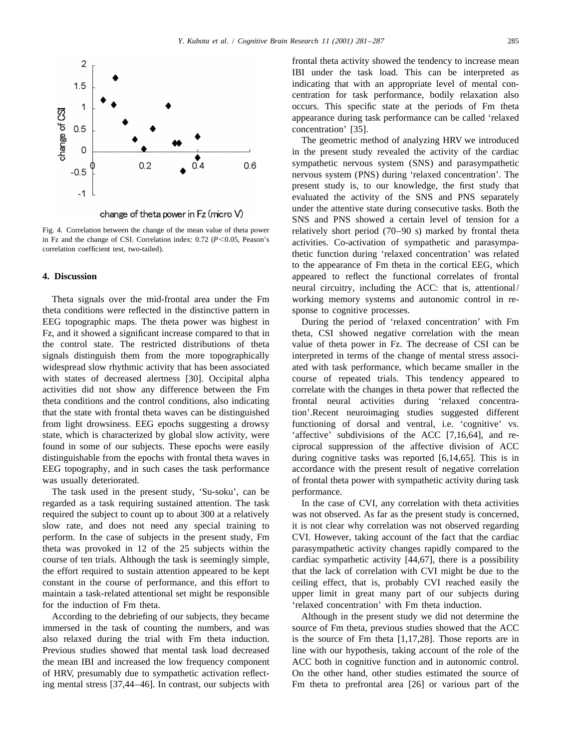



theta conditions were reflected in the distinctive pattern in sponse to cognitive processes. EEG topographic maps. The theta power was highest in During the period of 'relaxed concentration' with Fm Fz, and it showed a significant increase compared to that in theta, CSI showed negative correlation with the mean the control state. The restricted distributions of theta value of theta power in Fz. The decrease of CSI can be signals distinguish them from the more topographically interpreted in terms of the change of mental stress associwidespread slow rhythmic activity that has been associated ated with task performance, which became smaller in the with states of decreased alertness [30]. Occipital alpha course of repeated trials. This tendency appeared to activities did not show any difference between the Fm correlate with the changes in theta power that reflected the theta conditions and the control conditions, also indicating frontal neural activities during 'relaxed concentrathat the state with frontal theta waves can be distinguished tion'.Recent neuroimaging studies suggested different from light drowsiness. EEG epochs suggesting a drowsy functioning of dorsal and ventral, i.e. 'cognitive' vs. state, which is characterized by global slow activity, were 'affective' subdivisions of the ACC [7,16,64], and refound in some of our subjects. These epochs were easily ciprocal suppression of the affective division of ACC distinguishable from the epochs with frontal theta waves in during cognitive tasks was reported [6,14,65]. This is in EEG topography, and in such cases the task performance accordance with the present result of negative correlation was usually deteriorated.  $\blacksquare$  of frontal theta power with sympathetic activity during task

The task used in the present study, 'Su-soku', can be performance. regarded as a task requiring sustained attention. The task In the case of CVI, any correlation with theta activities required the subject to count up to about 300 at a relatively was not observed. As far as the present study is concerned, slow rate, and does not need any special training to it is not clear why correlation was not observed regarding perform. In the case of subjects in the present study, Fm CVI. However, taking account of the fact that the cardiac theta was provoked in 12 of the 25 subjects within the parasympathetic activity changes rapidly compared to the course of ten trials. Although the task is seemingly simple, cardiac sympathetic activity [44,67], there is a possibility the effort required to sustain attention appeared to be kept that the lack of correlation with CVI might be due to the constant in the course of performance, and this effort to ceiling effect, that is, probably CVI reached easily the maintain a task-related attentional set might be responsible upper limit in great many part of our subjects during for the induction of Fm theta. 'relaxed concentration' with Fm theta induction.

frontal theta activity showed the tendency to increase mean IBI under the task load. This can be interpreted as indicating that with an appropriate level of mental concentration for task performance, bodily relaxation also occurs. This specific state at the periods of Fm theta appearance during task performance can be called 'relaxed concentration' [35].

The geometric method of analyzing HRV we introduced in the present study revealed the activity of the cardiac sympathetic nervous system (SNS) and parasympathetic nervous system (PNS) during 'relaxed concentration'. The present study is, to our knowledge, the first study that evaluated the activity of the SNS and PNS separately under the attentive state during consecutive tasks. Both the SNS and PNS showed a certain level of tension for a Fig. 4. Correlation between the change of the mean value of theta power relatively short period  $(70-90 \text{ s})$  marked by frontal theta in Fz and the change of CSI. Correlation index: 0.72 ( $P<0.05$ , Peason's activities. Co in Fz and the change of CSI. Correlation index:  $0.72$  ( $P < 0.05$ , Peason's<br>correlation coefficient test, two-tailed).<br>thetic function during 'relaxed concentration' was related to the appearance of Fm theta in the cortical EEG, which **4. Discussion** appeared to reflect the functional correlates of frontal neural circuitry, including the ACC: that is, attentional/ Theta signals over the mid-frontal area under the Fm working memory systems and autonomic control in re-

According to the debriefing of our subjects, they became Although in the present study we did not determine the immersed in the task of counting the numbers, and was source of Fm theta, previous studies showed that the ACC also relaxed during the trial with Fm theta induction. is the source of Fm theta [1,17,28]. Those reports are in Previous studies showed that mental task load decreased line with our hypothesis, taking account of the role of the the mean IBI and increased the low frequency component ACC both in cognitive function and in autonomic control. of HRV, presumably due to sympathetic activation reflect- On the other hand, other studies estimated the source of ing mental stress [37,44–46]. In contrast, our subjects with Fm theta to prefrontal area [26] or various part of the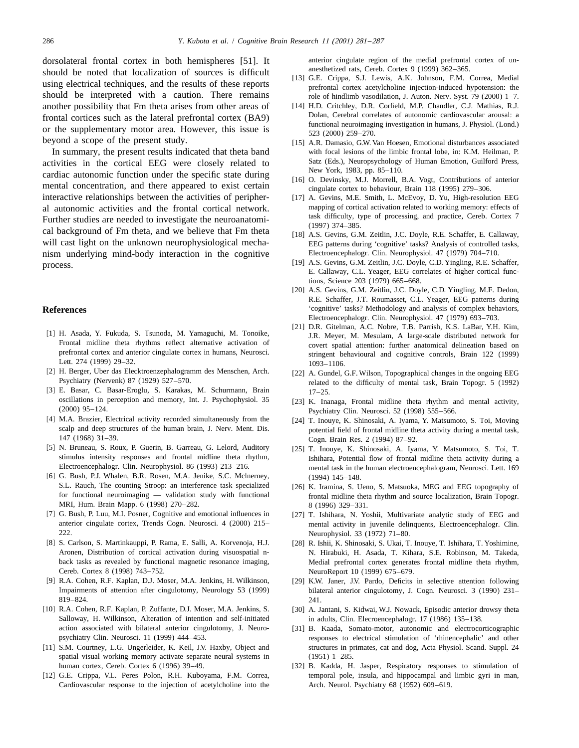dorsolateral frontal cortex in both hemispheres [51]. It anterior cingulate region of the medial prefrontal cortex of un-<br>chould be noted that localization of courses is difficult should be noted that localization of sources is difficult<br>using electrical techniques, and the results of these reports [13] G.E. Crippa, S.J. Lewis, A.K. Johnson, F.M. Correa, Medial<br>prefrontal cortex acetylcholine inject should be interpreted with a caution. There remains role of hindlimb vasodilation, J. Auton. Nerv. Syst. 79 (2000) 1–7. frontal cortices such as the lateral prefrontal cortex (BA9)<br>or the supplementary motor area. However, this issue is<br>beyond a scope of the present study. [15] A.R. Damasio. G.W. Van Hoesen. Emotional disturbances associate

activities in the cortical EEG were closely related to<br>cardiac autonomic function under the specific state during<br>mental concentration, and there appeared to exist certain<br>mental concentration, and there appeared to exist interactive relationships between the activities of peripher- [17] A. Gevins, M.E. Smith, L. McEvoy, D. Yu, High-resolution EEG al autonomic activities and the frontal cortical network. mapping of cortical activation related to working memory: effects of<br>Eurther studies are needed to investigate the neuroanatomic task difficulty, type of processing Further studies are needed to investigate the neuroanatomi-<br>cal background of Fm theta, and we believe that Fm theta<br>[18] A.S. Gevins, G.M. Zeitlin, J.C. Doyle, R.E. Schaffer, E. Callaway, will cast light on the unknown neurophysiological mecha- EEG patterns during 'cognitive' tasks? Analysis of controlled tasks, nism underlying mind-body interaction in the cognitive Electroencephalogr. Clin. Neurophysiol. 47 (1979) 704–710.<br>
[19] A.S. Gevins, G.M. Zeitlin, J.C. Doyle, C.D. Yingling, R.E. Schaffer,

- Lett. 274 (1999) 29–32. 1093–1106.<br>
[2] H. Berger, Uber das Elecktroenzephalogramm des Menschen, Arch. [2] H. Gundel
- 
- [3] E. Basar, C. Basar-Eroglu, S. Karakas, M. Schurmann, Brain 17–25.<br>
oscillations in perception and memory, Int. J. Psychophysiol. 35 [23] K. Ina oscillations in perception and memory, Int. J. Psychophysiol.  $35$  [23] K. Inanaga, Frontal midline theta rhythm and mental activity,  $(2000)$  95–124.
- 
- [5] N. Bruneau, S. Roux, P. Guerin, B. Garreau, G. Lelord, Auditory [25] T. Inouye, K. Shinosaki, A. Iyama, Y. Matsumoto, S. Toi, T.
- [6] G. Bush, P.J. Whalen, B.R. Rosen, M.A. Jenike, S.C. Mclnerney, (1994) 145–148. S.L. Rauch, The counting Stroop: an interference task specialized [26] K. Iramina, S. Ueno, S. Matsuoka, MEG and EEG topography of MRI, Hum. Brain Mapp. 6 (1998) 270–282.<br>
[7] G. Bush, P. Luu, M.I. Posner, Cognitive and emotional influences in [27] T. Ishihara. N. Yo
- 222. Neurophysiol. 33 (1972) 71–80.
- [8] S. Carlson, S. Martinkauppi, P. Rama, E. Salli, A. Korvenoja, H.J. [28] R. Ishii, K. Shinosaki, S. Ukai, T. Inouye, T. Ishihara, T. Yoshimine, Cereb. Cortex 8 (1998) 743–752.<br>
[9] R.A. Cohen, R.F. Kaplan, D.J. Moser, M.A. Jenkins, H. Wilkinson, [29] K.W. Janer, J.V. Pardo, Deficits
- 819–824. 241.
- Salloway, H. Wilkinson, Alteration of intention and self-initiated in adults, Clin. Elecroencephalogr. 17 (1986) 135–138. action associated with bilateral anterior cingulotomy, J. Neuro- [31] B. Kaada, Somato-motor, autonomic and electrocorticographic
- spatial visual working memory activate separate neural systems in (1951) 1–285. human cortex, Cereb. Cortex 6 (1996) 39–49. [32] B. Kadda, H. Jasper, Respiratory responses to stimulation of
- Cardiovascular response to the injection of acetylcholine into the Arch. Neurol. Psychiatry 68 (1952) 609–619.

- 
- another possibility that Fm theta arises from other areas of [14] H.D. Critchley, D.R. Corfield, M.P. Chandler, C.J. Mathias, R.J. Frontal cortical cortical profession of  $[14]$  H.D. Critchley, D.R. Corfield, M.P. Chandler
	- [15] A.R. Damasio, G.W. Van Hoesen, Emotional disturbances associated In summary, the present results indicated that theta band with focal lesions of the limbic frontal lobe, in: K.M. Heilman, P.
		-
		-
		-
- Frocess.<br>E. Callaway, C.L. Yeager, EEG correlates of higher cortical func-<br>E. Callaway, C.L. Yeager, EEG correlates of higher cortical functions, Science 203 (1979) 665–668.
- [20] A.S. Gevins, G.M. Zeitlin, J.C. Doyle, C.D. Yingling, M.F. Dedon, R.E. Schaffer, J.T. Roumasset, C.L. Yeager, EEG patterns during **References Constanting the Constanting Constanting Constanting Constanting Constanting Constanting Constanting Constanting Constanting Constanting Constanting Constanting Constanting Constanting Constanting Constanting** Electroencephalogr. Clin. Neurophysiol. 47 (1979) 693–703.
- [21] D.R. Gitelman, A.C. Nobre, T.B. Parrish, K.S. LaBar, Y.H. Kim, [1] H. Asada, Y. Fukuda, S. Tsunoda, M. Yamaguchi, M. Tonoike,<br>
Frontal midline theta rhythms reflect alternative activation of<br>
prefrontal cortex and anterior cingulate cortex in humans, Neurosci.<br>
Frontal prefrontal cort stringent behavioural and cognitive controls, Brain 122 (1999)
	- H. Berger, Uber das Elecktroenzephalogramm des Menschen, Arch. [22] A. Gundel, G.F. Wilson, Topographical changes in the ongoing EEG<br>Psychiatry (Nervenk) 87 (1929) 527–570. related to the difficulty of mental task, Brain Topogr. 5 (1992)
- (2000) 95–124.<br>Psychiatry Clin. Neurosci. 52 (1998) 555–566.<br>[4] M.A. Brazier, Electrical activity recorded simultaneously from the [241 T Inouve K Shinosaki A Ivama Y Matsum
	- M.A. Brazier, Electrical activity recorded simultaneously from the [24] T. Inouye, K. Shinosaki, A. Iyama, Y. Matsumoto, S. Toi, Moving<br>scalp and deep structures of the human brain, J. Nerv. Ment. Dis. entential field of f scalp and deep structures of the human brain, J. Nerv. Ment. Dis.<br>
	147 (1968) 31–39.<br>
	Cogn Brain Res 2 (1994) 87–92. Cogn. Brain Res. 2 (1994) 87–92.
	- stimulus intensity responses and frontal midline theta rhythm,<br>Electroencephalogr. Clin. Neurophysiol. 86 (1993) 213–216.<br>mental task in the human electroencephalogram Neurosci Lett 169 mental task in the human electroencephalogram, Neurosci. Lett. 169
	- for functional neuroimaging validation study with functional frontal midline theta rhythm and source localization, Brain Topogr.
	- G. Bush, P. Luu, M.I. Posner, Cognitive and emotional influences in [27] T. Ishihara, N. Yoshii, Multivariate analytic study of EEG and anterior cingulate cortex, Trends Cogn. Neurosci. 4 (2000) 215– mental activity in iuv mental activity in juvenile delinquents, Electroencephalogr. Clin.
	- Aronen, Distribution of cortical activation during visuospatial n- N. Hirabuki, H. Asada, T. Kihara, S.E. Robinson, M. Takeda, back tasks as revealed by functional magnetic resonance imaging, Medial prefrontal cortex generates frontal midline theta rhythm,
	- [29] K.W. Janer, J.V. Pardo, Deficits in selective attention following Impairments of attention after cingulotomy, Neurology 53 (1999) bilateral anterior cingulotomy, J. Cogn. Neurosci. 3 (1990) 231–
- [10] R.A. Cohen, R.F. Kaplan, P. Zuffante, D.J. Moser, M.A. Jenkins, S. [30] A. Jantani, S. Kidwai, W.J. Nowack, Episodic anterior drowsy theta
- psychiatry Clin. Neurosci. 11 (1999) 444-453. responses to electrical stimulation of 'rhinencephalic' and other [11] S.M. Courtney, L.G. Ungerleider, K. Keil, J.V. Haxby, Object and structures in primates, cat and dog, Acta Physiol. Scand. Suppl. 24
- [12] G.E. Crippa, V.L. Peres Polon, R.H. Kuboyama, F.M. Correa, temporal pole, insula, and hippocampal and limbic gyri in man,